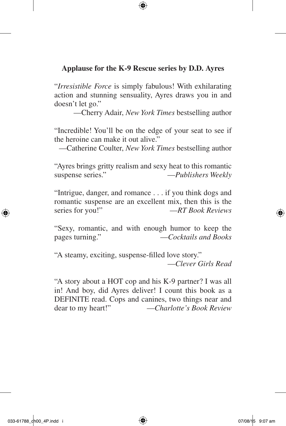# **Applause for the K-9 Rescue series by D.D. Ayres**

⊕

"*Irresistible Force* is simply fabulous! With exhilarating action and stunning sensuality, Ayres draws you in and doesn't let go."

—Cherry Adair, *New York Times* bestselling author

"Incredible! You'll be on the edge of your seat to see if the heroine can make it out alive."

—Catherine Coulter, *New York Times* bestselling author

"Ayres brings gritty realism and sexy heat to this romantic suspense series." —*Publishers Weekly*

"Intrigue, danger, and romance . . . if you think dogs and romantic suspense are an excellent mix, then this is the series for you!" —*RT Book Reviews*

"Sexy, romantic, and with enough humor to keep the pages turning." —*Cocktails and Books*

"A steamy, exciting, suspense-filled love story." —*Clever Girls Read*

"A story about a HOT cop and his K-9 partner? I was all in! And boy, did Ayres deliver! I count this book as a DEFINITE read. Cops and canines, two things near and dear to my heart!" —*Charlotte's Book Review*

⊕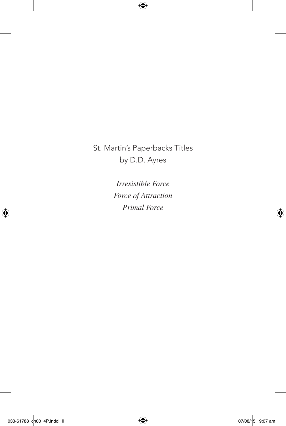St. Martin's Paperbacks Titles by D.D. Ayres

 $\bigoplus$ 

*Irresistible Force Force of Attraction Primal Force*

 $\bigoplus$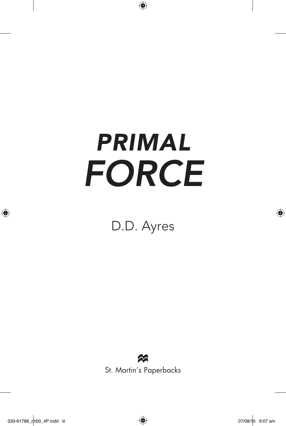$\bigoplus$ 

D.D. Ayres



St. Martin's Paperbacks

 $\bigoplus$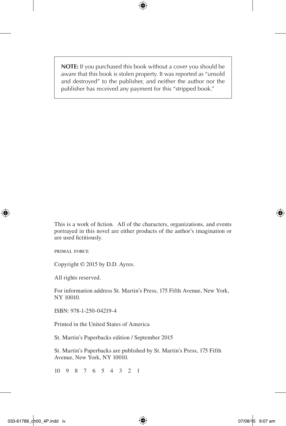**NOTE:** If you purchased this book without a cover you should be aware that this book is stolen property. It was reported as "unsold and destroyed" to the publisher, and neither the author nor the publisher has received any payment for this "stripped book."

This is a work of fiction. All of the characters, organizations, and events portrayed in this novel are either products of the author's imagination or are used fictitiously.

primal force

Copyright © 2015 by D.D. Ayres.

All rights reserved.

For information address St. Martin's Press, 175 Fifth Avenue, New York, NY 10010.

ISBN: 978-1-250-04219-4

Printed in the United States of America

St. Martin's Paperbacks edition / September 2015

St. Martin's Paperbacks are published by St. Martin's Press, 175 Fifth Avenue, New York, NY 10010.

10 9 8 7 6 5 4 3 2 1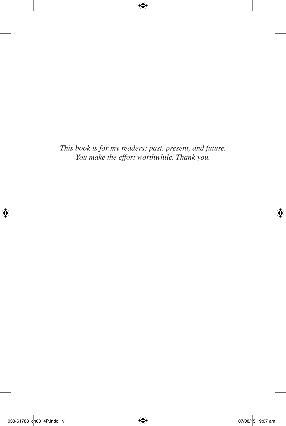*This book is for my readers: past, present, and future. You make the effort worthwhile. Thank you.*

 $\bigoplus$ 

 $\bigoplus$ 

 $\bigoplus$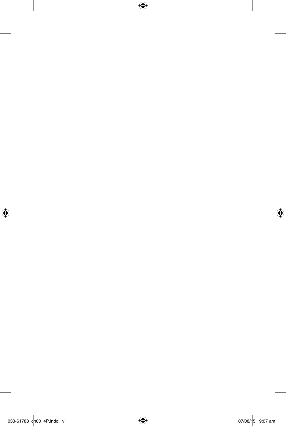

 $\bigoplus$ 



 $\overline{\phantom{a}}$ 

 $\bigoplus$ 

 $\overline{\phantom{a}}$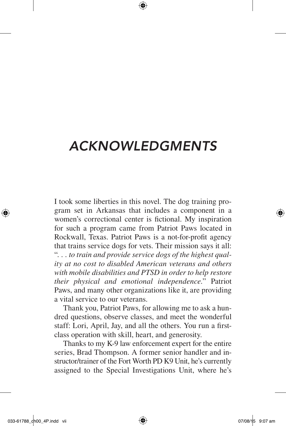# *ACKNOWLEDGMENTS*

I took some liberties in this novel. The dog training program set in Arkansas that includes a component in a women's correctional center is fictional. My inspiration for such a program came from Patriot Paws located in Rockwall, Texas. Patriot Paws is a not-for-profit agency that trains ser vice dogs for vets. Their mission says it all: ". . . *to train and provide ser vice dogs of the highest quality at no cost to disabled American veterans and others with mobile disabilities and PTSD in order to help restore their physical and emotional in de pen dence.*" Patriot Paws, and many other organizations like it, are providing a vital service to our veterans.

Thank you, Patriot Paws, for allowing me to ask a hundred questions, observe classes, and meet the wonderful staff: Lori, April, Jay, and all the others. You run a firstclass operation with skill, heart, and generosity.

Thanks to my K-9 law enforcement expert for the entire series, Brad Thompson. A former senior handler and instructor/trainer of the Fort Worth PD K9 Unit, he's currently assigned to the Special Investigations Unit, where he's

⊕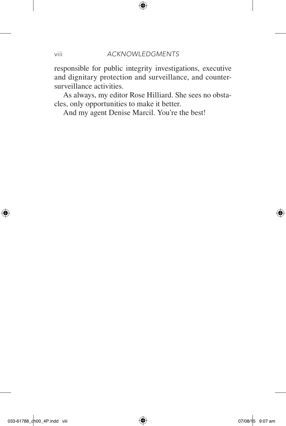# viii ACKNOWLEDGMENTS

responsible for public integrity investigations, executive and dignitary protection and surveillance, and countersurveillance activities.

⊕

As always, my editor Rose Hilliard. She sees no obstacles, only opportunities to make it better.

And my agent Denise Marcil. You're the best!

⊕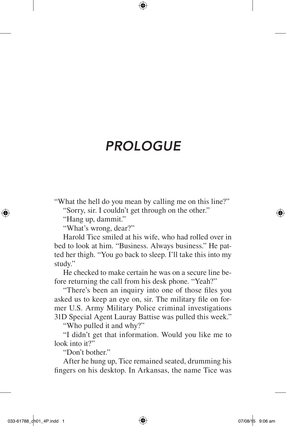# *PROLOGUE*

⊕

"What the hell do you mean by calling me on this line?" "Sorry, sir. I couldn't get through on the other."

"Hang up, dammit."

"What's wrong, dear?"

Harold Tice smiled at his wife, who had rolled over in bed to look at him. "Business. Always business." He patted her thigh. "You go back to sleep. I'll take this into my study."

He checked to make certain he was on a secure line before returning the call from his desk phone. "Yeah?"

"There's been an inquiry into one of those files you asked us to keep an eye on, sir. The military file on former U.S. Army Military Police criminal investigations 31D Special Agent Lauray Battise was pulled this week."

"Who pulled it and why?"

"I didn't get that information. Would you like me to look into it?"

"Don't bother."

 After he hung up, Tice remained seated, drumming his fingers on his desktop. In Arkansas, the name Tice was

⊕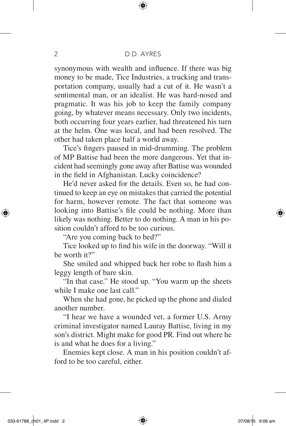synonymous with wealth and influence. If there was big money to be made, Tice Industries, a trucking and transportation company, usually had a cut of it. He wasn't a sentimental man, or an idealist. He was hard-nosed and pragmatic. It was his job to keep the family company going, by whatever means necessary. Only two incidents, both occurring four years earlier, had threatened his turn at the helm. One was local, and had been resolved. The other had taken place half a world away.

Tice's fingers paused in mid-drumming. The problem of MP Battise had been the more dangerous. Yet that incident had seemingly gone away after Battise was wounded in the field in Afghanistan. Lucky coincidence?

He'd never asked for the details. Even so, he had continued to keep an eye on mistakes that carried the potential for harm, however remote. The fact that someone was looking into Battise's file could be nothing. More than likely was nothing. Better to do nothing. A man in his position couldn't afford to be too curious.

"Are you coming back to bed?"

Tice looked up to find his wife in the doorway. "Will it be worth it?"

She smiled and whipped back her robe to flash him a leggy length of bare skin.

"In that case." He stood up. "You warm up the sheets while I make one last call."

When she had gone, he picked up the phone and dialed another number.

"I hear we have a wounded vet, a former U.S. Army criminal investigator named Lauray Battise, living in my son's district. Might make for good PR. Find out where he is and what he does for a living."

Enemies kept close. A man in his position couldn't afford to be too careful, either.

⊕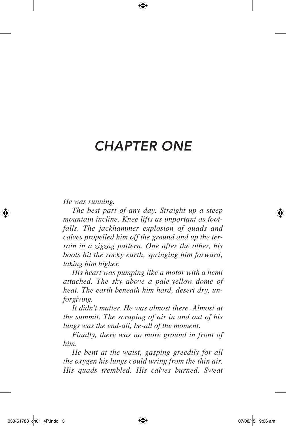# *CHAPTER ONE*

*He was running.*

*The best part of any day. Straight up a steep*  mountain incline. Knee lifts as important as foot*falls. The jackhammer explosion of quads and calves propelled him off the ground and up the terrain in a zigzag pattern. One after the other, his boots hit the rocky earth, springing him forward, taking him higher.*

*His heart was pumping like a motor with a hemi attached. The sky above a pale- yellow dome of heat. The earth beneath him hard, desert dry, unforgiving.*

*It didn't matter. He was almost there. Almost at the summit. The scraping of air in and out of his lungs was the end- all, be- all of the moment.*

*Finally, there was no more ground in front of him.*

*He bent at the waist, gasping greedily for all the oxygen his lungs could wring from the thin air. His quads trembled. His calves burned. Sweat*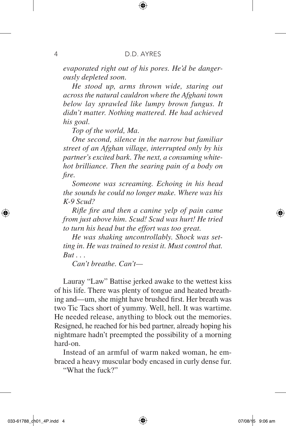*evaporated right out of his pores. He'd be dangerously depleted soon.*

*He stood up, arms thrown wide, staring out across the natural cauldron where the Afghani town below lay sprawled like lumpy brown fungus. It didn't matter. Nothing mattered. He had achieved his goal.*

*Top of the world, Ma.*

*One second, silence in the narrow but familiar street of an Afghan village, interrupted only by his partner's excited bark. The next, a consuming whitehot brilliance. Then the searing pain of a body on fi re.*

*Someone was screaming. Echoing in his head the sounds he could no longer make. Where was his K-9 Scud?*

*Rifle fire and then a canine yelp of pain came from just above him. Scud! Scud was hurt! He tried to turn his head but the effort was too great.*

*He was shaking uncontrollably. Shock was setting in. He was trained to resist it. Must control that. But . . .* 

*Can't breathe. Can't—* 

Lauray "Law" Battise jerked awake to the wettest kiss of his life. There was plenty of tongue and heated breathing and—um, she might have brushed first. Her breath was two Tic Tacs short of yummy. Well, hell. It was wartime. He needed release, anything to block out the memories. Resigned, he reached for his bed partner, already hoping his nightmare hadn't preempted the possibility of a morning hard-on.

Instead of an armful of warm naked woman, he embraced a heavy muscular body encased in curly dense fur.

"What the fuck?"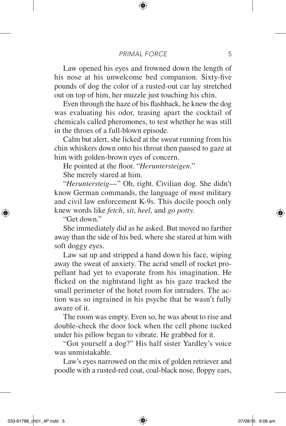Law opened his eyes and frowned down the length of his nose at his unwelcome bed companion. Sixty-five pounds of dog the color of a rusted-out car lay stretched out on top of him, her muzzle just touching his chin.

Even through the haze of his flashback, he knew the dog was evaluating his odor, teasing apart the cocktail of chemicals called pheromones, to test whether he was still in the throes of a full-blown episode.

Calm but alert, she licked at the sweat running from his chin whis kers down onto his throat then paused to gaze at him with golden-brown eyes of concern.

He pointed at the floor. "*Heruntersteigen*."

She merely stared at him.

"*Heruntersteig*—" Oh, right. Civilian dog. She didn't know German commands, the language of most military and civil law enforcement K-9s. This docile pooch only knew words like *fetch*, *sit*, *heel*, and *go potty*.

"Get down."

She immediately did as he asked. But moved no farther away than the side of his bed, where she stared at him with soft doggy eyes.

Law sat up and stripped a hand down his face, wiping away the sweat of anxiety. The acrid smell of rocket propellant had yet to evaporate from his imagination. He flicked on the nightstand light as his gaze tracked the small perimeter of the hotel room for intruders. The action was so ingrained in his psyche that he wasn't fully aware of it.

The room was empty. Even so, he was about to rise and double- check the door lock when the cell phone tucked under his pillow began to vibrate. He grabbed for it.

"Got yourself a dog?" His half sister Yardley's voice was unmistakable.

Law's eyes narrowed on the mix of golden retriever and poodle with a rusted-red coat, coal-black nose, floppy ears,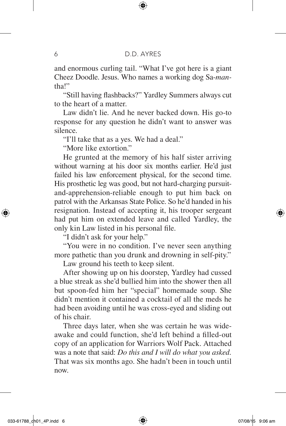and enormous curling tail. "What I've got here is a giant Cheez Doodle. Jesus. Who names a working dog Sa-*man*tha!"

"Still having flashbacks?" Yardley Summers always cut to the heart of a matter.

Law didn't lie. And he never backed down. His go-to response for any question he didn't want to answer was silence.

"I'll take that as a yes. We had a deal."

"More like extortion."

He grunted at the memory of his half sister arriving without warning at his door six months earlier. He'd just failed his law enforcement physical, for the second time. His prosthetic leg was good, but not hard- charging pursuitand- apprehension- reliable enough to put him back on patrol with the Arkansas State Police. So he'd handed in his resignation. Instead of accepting it, his trooper sergeant had put him on extended leave and called Yardley, the only kin Law listed in his personal file.

"I didn't ask for your help."

"You were in no condition. I've never seen anything more pathetic than you drunk and drowning in self-pity."

Law ground his teeth to keep silent.

 After showing up on his doorstep, Yardley had cussed a blue streak as she'd bullied him into the shower then all but spoon- fed him her "special" homemade soup. She didn't mention it contained a cocktail of all the meds he had been avoiding until he was cross-eyed and sliding out of his chair.

Three days later, when she was certain he was wideawake and could function, she'd left behind a filled-out copy of an application for Warriors Wolf Pack. Attached was a note that said: *Do this and I will do what you asked.* That was six months ago. She hadn't been in touch until now.

⊕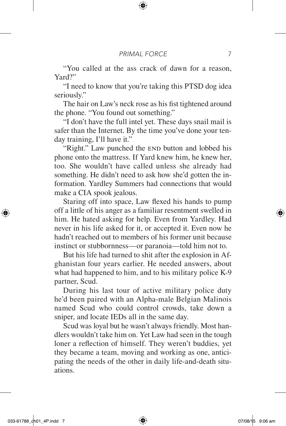"You called at the ass crack of dawn for a reason, Yard?"

"I need to know that you're taking this PTSD dog idea seriously."

The hair on Law's neck rose as his fist tightened around the phone. "You found out something."

"I don't have the full intel yet. These days snail mail is safer than the Internet. By the time you've done your tenday training, I'll have it."

"Right." Law punched the END button and lobbed his phone onto the mattress. If Yard knew him, he knew her, too. She wouldn't have called unless she already had something. He didn't need to ask how she'd gotten the information. Yardley Summers had connections that would make a CIA spook jealous.

Staring off into space, Law flexed his hands to pump off a little of his anger as a familiar resentment swelled in him. He hated asking for help. Even from Yardley. Had never in his life asked for it, or accepted it. Even now he hadn't reached out to members of his former unit because instinct or stubbornness—or paranoia— told him not to.

But his life had turned to shit after the explosion in Afghanistan four years earlier. He needed answers, about what had happened to him, and to his military police K-9 partner, Scud.

During his last tour of active military police duty he'd been paired with an Alpha-male Belgian Malinois named Scud who could control crowds, take down a sniper, and locate IEDs all in the same day.

Scud was loyal but he wasn't always friendly. Most handlers wouldn't take him on. Yet Law had seen in the tough loner a reflection of himself. They weren't buddies, yet they became a team, moving and working as one, anticipating the needs of the other in daily life-and-death situations.

⊕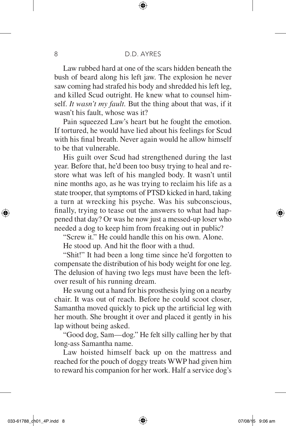Law rubbed hard at one of the scars hidden beneath the bush of beard along his left jaw. The explosion he never saw coming had strafed his body and shredded his left leg, and killed Scud outright. He knew what to counsel himself. *It wasn't my fault.* But the thing about that was, if it wasn't his fault, whose was it?

Pain squeezed Law's heart but he fought the emotion. If tortured, he would have lied about his feelings for Scud with his final breath. Never again would he allow himself to be that vulnerable.

His guilt over Scud had strengthened during the last year. Before that, he'd been too busy trying to heal and restore what was left of his mangled body. It wasn't until nine months ago, as he was trying to reclaim his life as a state trooper, that symptoms of PTSD kicked in hard, taking a turn at wrecking his psyche. Was his subconscious, finally, trying to tease out the answers to what had happened that day? Or was he now just a messed-up loser who needed a dog to keep him from freaking out in public?

"Screw it." He could handle this on his own. Alone.

He stood up. And hit the floor with a thud.

"Shit!" It had been a long time since he'd forgotten to compensate the distribution of his body weight for one leg. The delusion of having two legs must have been the leftover result of his running dream.

He swung out a hand for his prosthesis lying on a nearby chair. It was out of reach. Before he could scoot closer, Samantha moved quickly to pick up the artificial leg with her mouth. She brought it over and placed it gently in his lap without being asked.

"Good dog, Sam— dog." He felt silly calling her by that long-ass Samantha name.

Law hoisted himself back up on the mattress and reached for the pouch of doggy treats WWP had given him to reward his companion for her work. Half a service dog's

⊕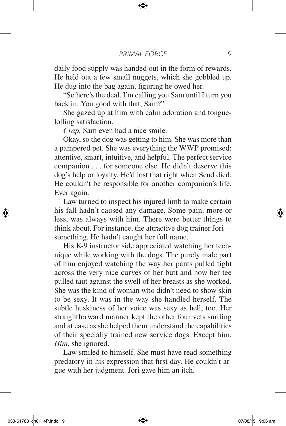daily food supply was handed out in the form of rewards. He held out a few small nuggets, which she gobbled up. He dug into the bag again, figuring he owed her.

"So here's the deal. I'm calling you Sam until I turn you back in. You good with that, Sam?"

She gazed up at him with calm adoration and tonguelolling satisfaction.

*Crap.* Sam even had a nice smile.

Okay, so the dog was getting to him. She was more than a pampered pet. She was everything the WWP promised: attentive, smart, intuitive, and helpful. The perfect service companion . . . for someone else. He didn't deserve this dog's help or loyalty. He'd lost that right when Scud died. He couldn't be responsible for another companion's life. Ever again.

Law turned to inspect his injured limb to make certain his fall hadn't caused any damage. Some pain, more or less, was always with him. There were better things to think about. For instance, the attractive dog trainer Jori something. He hadn't caught her full name.

His K-9 instructor side appreciated watching her technique while working with the dogs. The purely male part of him enjoyed watching the way her pants pulled tight across the very nice curves of her butt and how her tee pulled taut against the swell of her breasts as she worked. She was the kind of woman who didn't need to show skin to be sexy. It was in the way she handled herself. The subtle huskiness of her voice was sexy as hell, too. Her straightforward manner kept the other four vets smiling and at ease as she helped them understand the capabilities of their specially trained new ser vice dogs. Except him. *Him*, she ignored.

Law smiled to himself. She must have read something predatory in his expression that first day. He couldn't argue with her judgment. Jori gave him an itch.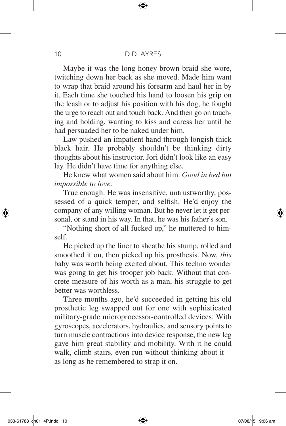Maybe it was the long honey-brown braid she wore, twitching down her back as she moved. Made him want to wrap that braid around his forearm and haul her in by it. Each time she touched his hand to loosen his grip on the leash or to adjust his position with his dog, he fought the urge to reach out and touch back. And then go on touching and holding, wanting to kiss and caress her until he had persuaded her to be naked under him.

Law pushed an impatient hand through longish thick black hair. He probably shouldn't be thinking dirty thoughts about his instructor. Jori didn't look like an easy lay. He didn't have time for anything else.

He knew what women said about him: *Good in bed but impossible to love.*

True enough. He was insensitive, untrustworthy, possessed of a quick temper, and selfish. He'd enjoy the com pany of any willing woman. But he never let it get personal, or stand in his way. In that, he was his father's son.

"Nothing short of all fucked up," he muttered to himself.

He picked up the liner to sheathe his stump, rolled and smoothed it on, then picked up his prosthesis. Now, *this* baby was worth being excited about. This techno wonder was going to get his trooper job back. Without that concrete measure of his worth as a man, his struggle to get better was worthless.

Three months ago, he'd succeeded in getting his old prosthetic leg swapped out for one with sophisticated military- grade microprocessor- controlled devices. With gyroscopes, accelerators, hydraulics, and sensory points to turn muscle contractions into device response, the new leg gave him great stability and mobility. With it he could walk, climb stairs, even run without thinking about it as long as he remembered to strap it on.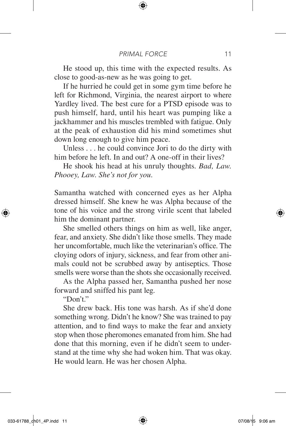He stood up, this time with the expected results. As close to good-as-new as he was going to get.

If he hurried he could get in some gym time before he left for Richmond, Virginia, the nearest airport to where Yardley lived. The best cure for a PTSD episode was to push himself, hard, until his heart was pumping like a jackhammer and his muscles trembled with fatigue. Only at the peak of exhaustion did his mind sometimes shut down long enough to give him peace.

 Unless . . . he could convince Jori to do the dirty with him before he left. In and out? A one-off in their lives?

He shook his head at his unruly thoughts. *Bad, Law. Phooey, Law. She's not for you.*

Samantha watched with concerned eyes as her Alpha dressed himself. She knew he was Alpha because of the tone of his voice and the strong virile scent that labeled him the dominant partner.

She smelled others things on him as well, like anger, fear, and anxiety. She didn't like those smells. They made her uncomfortable, much like the veterinarian's office. The cloying odors of injury, sickness, and fear from other animals could not be scrubbed away by antiseptics. Those smells were worse than the shots she occasionally received.

As the Alpha passed her, Samantha pushed her nose forward and sniffed his pant leg.

"Don't."

She drew back. His tone was harsh. As if she'd done something wrong. Didn't he know? She was trained to pay attention, and to find ways to make the fear and anxiety stop when those pheromones emanated from him. She had done that this morning, even if he didn't seem to understand at the time why she had woken him. That was okay. He would learn. He was her chosen Alpha.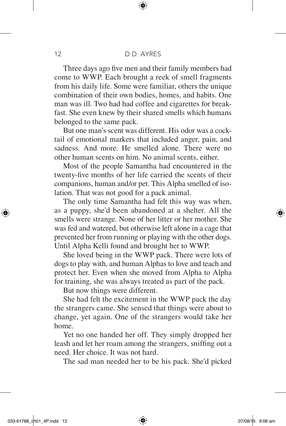Three days ago five men and their family members had come to WWP. Each brought a reek of smell fragments from his daily life. Some were familiar, others the unique combination of their own bodies, homes, and habits. One man was ill. Two had had coffee and cigarettes for breakfast. She even knew by their shared smells which humans belonged to the same pack.

But one man's scent was different. His odor was a cocktail of emotional markers that included anger, pain, and sadness. And more. He smelled alone. There were no other human scents on him. No animal scents, either.

Most of the people Samantha had encountered in the twenty-five months of her life carried the scents of their companions, human and/or pet. This Alpha smelled of isolation. That was not good for a pack animal.

The only time Samantha had felt this way was when, as a puppy, she'd been abandoned at a shelter. All the smells were strange. None of her litter or her mother. She was fed and watered, but otherwise left alone in a cage that prevented her from running or playing with the other dogs. Until Alpha Kelli found and brought her to WWP.

She loved being in the WWP pack. There were lots of dogs to play with, and human Alphas to love and teach and protect her. Even when she moved from Alpha to Alpha for training, she was always treated as part of the pack.

But now things were different.

She had felt the excitement in the WWP pack the day the strangers came. She sensed that things were about to change, yet again. One of the strangers would take her home.

Yet no one handed her off. They simply dropped her leash and let her roam among the strangers, sniffing out a need. Her choice. It was not hard.

The sad man needed her to be his pack. She'd picked